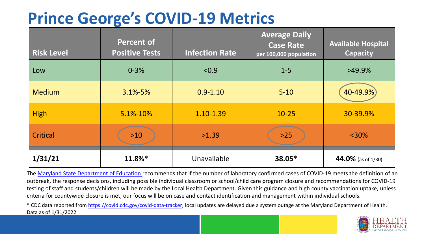## **Prince George's COVID-19 Metrics**

| <b>Risk Level</b> | <b>Percent of</b><br><b>Positive Tests</b> | <b>Infection Rate</b> | <b>Average Daily</b><br><b>Case Rate</b><br>per 100,000 population | <b>Available Hospital</b><br><b>Capacity</b> |
|-------------------|--------------------------------------------|-----------------------|--------------------------------------------------------------------|----------------------------------------------|
| Low               | $0 - 3%$                                   | < 0.9                 | $1 - 5$                                                            | $>49.9\%$                                    |
| <b>Medium</b>     | $3.1\% - 5\%$                              | $0.9 - 1.10$          | $5 - 10$                                                           | 40-49.9%                                     |
| <b>High</b>       | 5.1%-10%                                   | 1.10-1.39             | $10 - 25$                                                          | 30-39.9%                                     |
| Critical          | $>10$                                      | >1.39                 | $>25$                                                              | $<$ 30%                                      |
| 1/31/21           | 11.8%*                                     | Unavailable           | 38.05*                                                             | 44.0% (as of 1/30)                           |

The [Maryland State Department of Education](https://earlychildhood.marylandpublicschools.org/system/files/filedepot/3/covid_guidance_full_080420.pdf) recommends that if the number of laboratory confirmed cases of COVID-19 meets the definition of an outbreak, the response decisions, including possible individual classroom or school/child care program closure and recommendations for COVID-19 testing of staff and students/children will be made by the Local Health Department. Given this guidance and high county vaccination uptake, unless criteria for countywide closure is met, our focus will be on case and contact identification and management within individual schools.

\* CDC data reported from <https://covid.cdc.gov/covid-data-tracker>; local updates are delayed due a system outage at the Maryland Department of Health. Data as of 1/31/2022

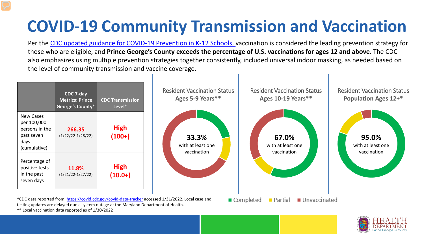## **COVID-19 Community Transmission and Vaccination**

Per the [CDC updated guidance for COVID-19 Prevention in K-12 Schools,](https://www.cdc.gov/coronavirus/2019-ncov/community/schools-childcare/k-12-guidance.html) vaccination is considered the leading prevention strategy for those who are eligible, and **Prince George's County exceeds the percentage of U.S. vaccinations for ages 12 and above**. The CDC also emphasizes using multiple prevention strategies together consistently, included universal indoor masking, as needed based on the level of community transmission and vaccine coverage.